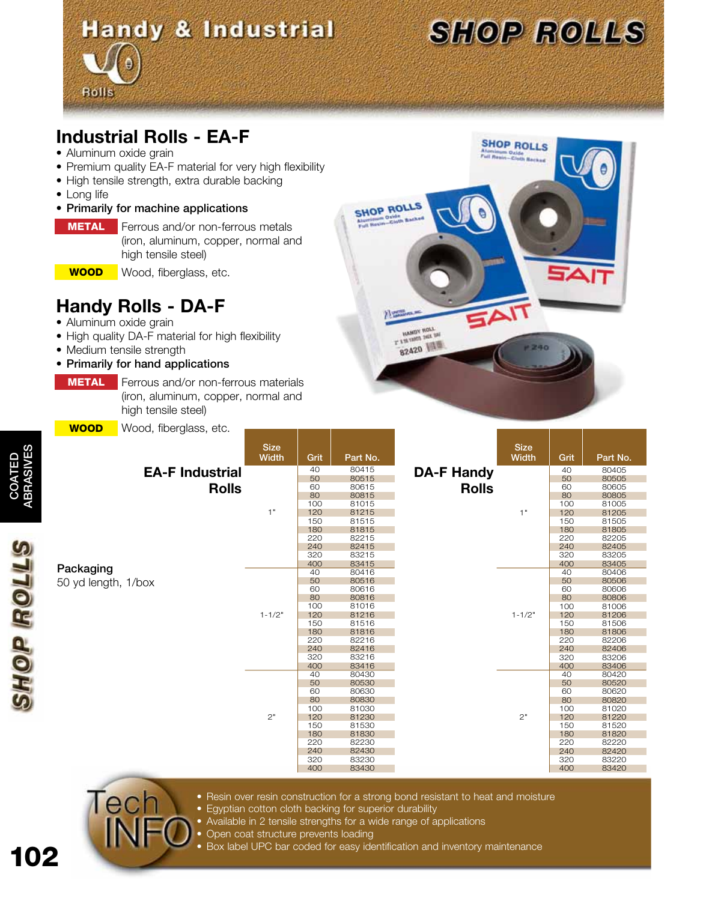# **Handy & Industrial**



**SHOP ROLLS** 

240

### **Industrial Rolls - EA-F**

• Aluminum oxide grain

**Rolls** 

- Premium quality EA-F material for very high flexibility
- High tensile strength, extra durable backing
- Long life
- Primarily for machine applications
- **METAL** Ferrous and/or non-ferrous metals (iron, aluminum, copper, normal and high tensile steel)
	- WOOD

Wood, fiberglass, etc.

## **Handy Rolls - DA-F**

- Aluminum oxide grain
- High quality DA-F material for high flexibility
- Medium tensile strength
- Primarily for hand applications
	- **METAL**  Ferrous and/or non-ferrous materials (iron, aluminum, copper, normal and high tensile steel)
- WOOD Wood fiberaless, etc

| <u>WUUD</u>                            | vvood, libergiass, etc. | <b>Size</b><br>Width | Grit       | Part No.       |                                   | <b>Size</b><br><b>Width</b> | Grit       | Part No.       |
|----------------------------------------|-------------------------|----------------------|------------|----------------|-----------------------------------|-----------------------------|------------|----------------|
| <b>EA-F Industrial</b><br><b>Rolls</b> |                         | 1"                   | 40         | 80415          | <b>DA-F Handy</b><br><b>Rolls</b> | 1"                          | 40         | 80405          |
|                                        |                         |                      | 50         | 80515          |                                   |                             | 50         | 80505          |
|                                        |                         |                      | 60         | 80615          |                                   |                             | 60         | 80605          |
|                                        |                         |                      | 80         | 80815          |                                   |                             | 80         | 80805          |
|                                        |                         |                      | 100        | 81015          |                                   |                             | 100        | 81005          |
|                                        |                         |                      | 120        | 81215          |                                   |                             | 120        | 81205          |
|                                        |                         |                      | 150        | 81515          |                                   |                             | 150        | 81505          |
|                                        |                         |                      | 180        | 81815          |                                   |                             | 180        | 81805          |
|                                        |                         |                      | 220<br>240 | 82215<br>82415 |                                   |                             | 220<br>240 | 82205<br>82405 |
|                                        |                         |                      | 320        | 83215          |                                   |                             | 320        | 83205          |
| Packaging                              |                         |                      | 400        | 83415          |                                   |                             | 400        | 83405          |
|                                        |                         |                      | 40         | 80416          |                                   |                             | 40         | 80406          |
|                                        |                         |                      | 50         | 80516          |                                   |                             | 50         | 80506          |
| 50 yd length, 1/box                    |                         |                      | 60         | 80616          |                                   | $1 - 1/2"$                  | 60         | 80606          |
|                                        |                         |                      | 80         | 80816          |                                   |                             | 80         | 80806          |
|                                        |                         |                      | 100        | 81016          |                                   |                             | 100        | 81006          |
|                                        |                         | $1 - 1/2"$           | 120        | 81216          |                                   |                             | 120        | 81206          |
|                                        |                         |                      | 150        | 81516          |                                   |                             | 150        | 81506          |
|                                        |                         |                      | 180        | 81816          |                                   |                             | 180        | 81806          |
|                                        |                         |                      | 220        | 82216          |                                   |                             | 220        | 82206          |
|                                        |                         |                      | 240<br>320 | 82416<br>83216 |                                   |                             | 240<br>320 | 82406<br>83206 |
|                                        |                         |                      | 400        | 83416          |                                   |                             | 400        | 83406          |
|                                        |                         |                      | 40         | 80430          |                                   |                             | 40         | 80420          |
|                                        |                         |                      | 50         | 80530          |                                   |                             | 50         | 80520          |
|                                        |                         | 2"                   | 60         | 80630          |                                   | 2"                          | 60         | 80620          |
|                                        |                         |                      | 80         | 80830          |                                   |                             | 80         | 80820          |
|                                        |                         |                      | 100        | 81030          |                                   |                             | 100        | 81020          |
|                                        |                         |                      | 120        | 81230          |                                   |                             | 120        | 81220          |
|                                        |                         | 150                  | 81530      |                | 150                               |                             | 81520      |                |
|                                        |                         |                      | 180        | 81830          |                                   |                             | 180        | 81820          |
|                                        |                         |                      | 220        | 82230          |                                   |                             | 220        | 82220          |
|                                        |                         |                      | 240        | 82430          |                                   |                             | 240        | 82420          |
|                                        |                         |                      | 320        | 83230          |                                   |                             | 320        | 83220          |
|                                        |                         |                      | 400        | 83430          |                                   |                             | 400        | 83420          |

**SHOP ROLLS** 

沙学

**HAMOY ROLL** 82420

- Tech INF
	- Resin over resin construction for a strong bond resistant to heat and moisture
	- Egyptian cotton cloth backing for superior durability
	- Available in 2 tensile strengths for a wide range of applications
	- Open coat structure prevents loading
	- Box label UPC bar coded for easy identification and inventory maintenance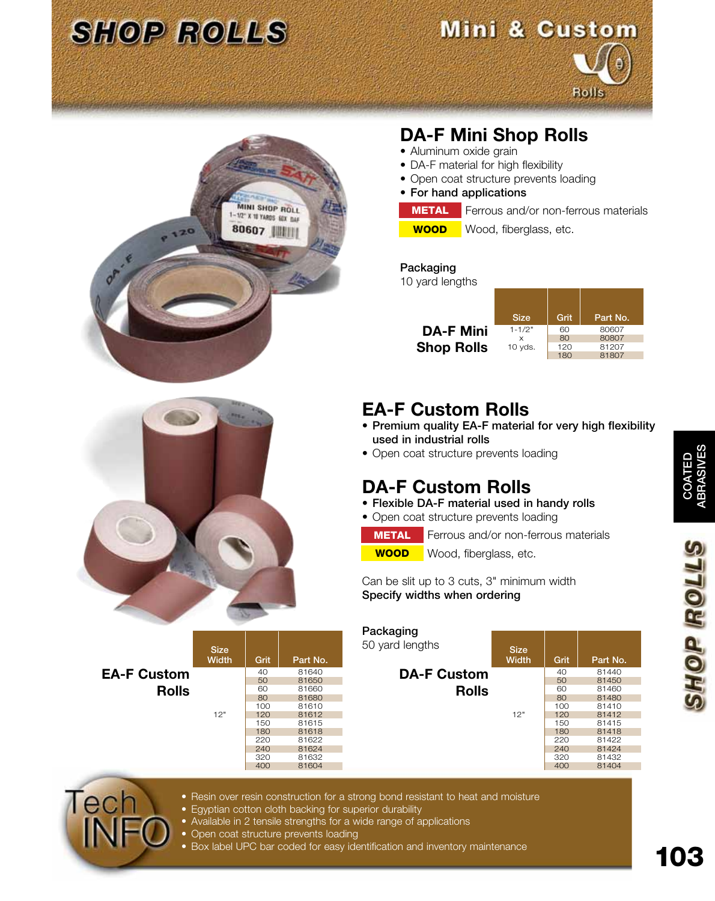

## Mini & Custom





## **DA-F Mini Shop Rolls**

- Aluminum oxide grain
- DA-F material for high flexibility
- Open coat structure prevents loading
- For hand applications
	- **METAL** Ferrous and/or non-ferrous materials
- WOOD

Wood, fiberglass, etc.

#### Packaging

10 yard lengths

|                   | <b>Size</b> | Grit | Part No. |
|-------------------|-------------|------|----------|
| <b>DA-F Mini</b>  | $1 - 1/2"$  | 60   | 80607    |
|                   | $\times$    | 80   | 80807    |
| <b>Shop Rolls</b> | $10$ yds.   | 120  | 81207    |
|                   |             | 180  | 81807    |



**EA-F Custom**

Tech

**Rolls**

Size<br>Width

## **EA-F Custom Rolls**

- Premium quality EA-F material for very high flexibility used in industrial rolls
- Open coat structure prevents loading

### **DA-F Custom Rolls**

- Flexible DA-F material used in handy rolls
- Open coat structure prevents loading

**METAL** Ferrous and/or non-ferrous materials

WOOD Wood, fiberglass, etc.

Can be slit up to 3 cuts, 3" minimum width Specify widths when ordering

| Packaging          |                      |      |          |
|--------------------|----------------------|------|----------|
| 50 yard lengths    | <b>Size</b><br>Width | Grit | Part No. |
| <b>DA-F Custom</b> |                      | 40   | 81440    |
|                    |                      | 50   | 81450    |
| <b>Rolls</b>       | 12"                  | 60   | 81460    |
|                    |                      | 80   | 81480    |
|                    |                      | 100  | 81410    |
|                    |                      | 120  | 81412    |
|                    |                      | 150  | 81415    |
|                    |                      | 180  | 81418    |
|                    |                      | 220  | 81422    |
|                    |                      | 240  | 81424    |
|                    |                      | 320  | 81432    |
|                    |                      | 400  | 81404    |
|                    |                      |      |          |



• Egyptian cotton cloth backing for superior durability

Grit | Part No.

40 81640 50 81650<br>60 81660 60 81660<br>80 81680 80 81680<br>100 81610

120 81612<br>150 81615 150 81615<br>180 81618 81618

 220 81622 240 81624<br>320 81632 320 81632 81604

- Available in 2 tensile strengths for a wide range of applications
- Open coat structure prevents loading

12" 100 81610

• Box label UPC bar coded for easy identification and inventory maintenance